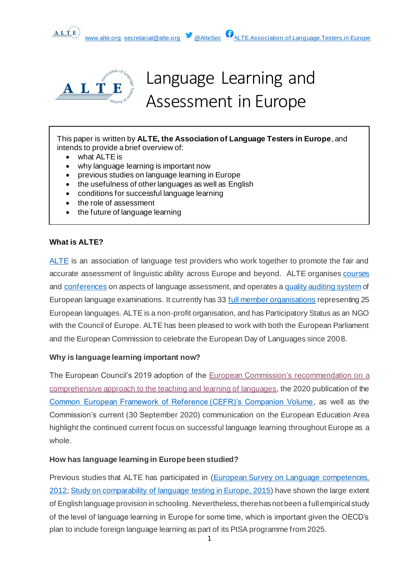



ALTE

# Language Learning and Assessment in Europe

This paper is written by **ALTE, the Association of Language Testers in Europe**, and intends to provide a brief overview of:

- what ALTE is
- why language learning is important now
- previous studies on language learning in Europe
- the usefulness of other languages as well as English
- conditions for successful language learning
- the role of assessment
- the future of language learning

#### **What is ALTE?**

[ALTE](https://www.alte.org/) is an association of language test providers who work together to promote the fair and accurate assessment of linguistic ability across Europe and beyond. ALTE organise[s courses](https://www.alte.org/Support) and [conferences](https://www.alte.org/Events) on aspects of language assessment, and operates [a quality auditing system](https://www.alte.org/Setting-Standards) of European language examinations. It currently has 33 [full member organisations](https://www.alte.org/Our-Full-Members) representing 25 European languages. ALTE is a non-profit organisation, and has Participatory Status as an NGO with the Council of Europe. ALTE has been pleased to work with both the European Parliament and the European Commission to celebrate the European Day of Languages since 2008.

# **Why is language learning important now?**

The European Council's 2019 adoption of the [European Commission's recommendation on a](https://eur-lex.europa.eu/legal-content/EN/TXT/?uri=uriserv%3AOJ.C_.2019.189.01.0015.01.ENG&toc=OJ%3AC%3A2019%3A189%3ATOC) [comprehensive approach to the teaching and learning of languages,](https://eur-lex.europa.eu/legal-content/EN/TXT/?uri=uriserv%3AOJ.C_.2019.189.01.0015.01.ENG&toc=OJ%3AC%3A2019%3A189%3ATOC) the 2020 publication of the [Common European Framework of Reference \(CEFR\)'s Companion Volume,](https://rm.coe.int/cefr-companion-volume-with-new-descriptors-2018/1680787989) as well as the Commission's current (30 September 2020) communication on the European Education Area highlight the continued current focus on successful language learning throughout Europe as a whole.

#### **How has language learning in Europe been studied?**

Previous studies that ALTE has participated in [\(European Survey on Language competences,](http://www.surveylang.org/media/ExecutivesummaryoftheESLC_210612.pdf)  [2012;](http://www.surveylang.org/media/ExecutivesummaryoftheESLC_210612.pdf) [Study on comparability of language testing](https://op.europa.eu/en/publication-detail/-/publication/48be26b7-41d2-4f59-8e34-d579735ca54a) in Europe, 2015) have shown the large extent of English language provision in schooling. Nevertheless, there has not been a full empirical study of the level of language learning in Europe for some time, which is important given the OECD's plan to include foreign language learning as part of its PISA programme from 2025.